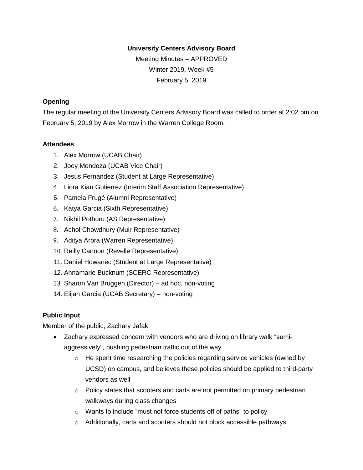#### **University Centers Advisory Board**

Meeting Minutes – APPROVED Winter 2019, Week #5 February 5, 2019

### **Opening**

The regular meeting of the University Centers Advisory Board was called to order at 2:02 pm on February 5, 2019 by Alex Morrow in the Warren College Room.

#### **Attendees**

- 1. Alex Morrow (UCAB Chair)
- 2. Joey Mendoza (UCAB Vice Chair)
- 3. Jesús Fernández (Student at Large Representative)
- 4. Liora Kian Gutierrez (Interim Staff Association Representative)
- 5. Pamela Frugé (Alumni Representative)
- 6. Katya Garcia (Sixth Representative)
- 7. Nikhil Pothuru (AS Representative)
- 8. Achol Chowdhury (Muir Representative)
- 9. Aditya Arora (Warren Representative)
- 10. Reilly Cannon (Revelle Representative)
- 11. Daniel Howanec (Student at Large Representative)
- 12. Annamarie Bucknum (SCERC Representative)
- 13. Sharon Van Bruggen (Director) ad hoc, non-voting
- 14. Elijah Garcia (UCAB Secretary) non-voting

## **Public Input**

Member of the public, Zachary Jafak

- Zachary expressed concern with vendors who are driving on library walk "semiaggressively", pushing pedestrian traffic out of the way
	- $\circ$  He spent time researching the policies regarding service vehicles (owned by UCSD) on campus, and believes these policies should be applied to third-party vendors as well
	- $\circ$  Policy states that scooters and carts are not permitted on primary pedestrian walkways during class changes
	- $\circ$  Wants to include "must not force students off of paths" to policy
	- o Additionally, carts and scooters should not block accessible pathways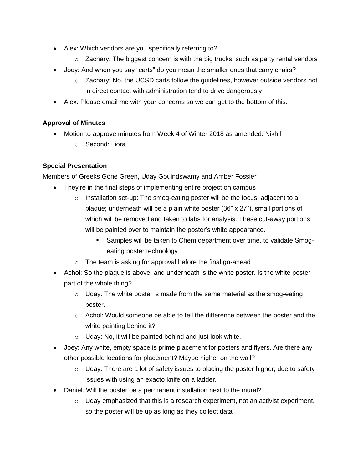- Alex: Which vendors are you specifically referring to?
	- $\circ$  Zachary: The biggest concern is with the big trucks, such as party rental vendors
- Joey: And when you say "carts" do you mean the smaller ones that carry chairs?
	- $\circ$  Zachary: No, the UCSD carts follow the guidelines, however outside vendors not in direct contact with administration tend to drive dangerously
- Alex: Please email me with your concerns so we can get to the bottom of this.

## **Approval of Minutes**

- Motion to approve minutes from Week 4 of Winter 2018 as amended: Nikhil
	- o Second: Liora

# **Special Presentation**

Members of Greeks Gone Green, Uday Gouindswamy and Amber Fossier

- They're in the final steps of implementing entire project on campus
	- $\circ$  Installation set-up: The smog-eating poster will be the focus, adjacent to a plaque; underneath will be a plain white poster (36" x 27"), small portions of which will be removed and taken to labs for analysis. These cut-away portions will be painted over to maintain the poster's white appearance.
		- Samples will be taken to Chem department over time, to validate Smogeating poster technology
	- o The team is asking for approval before the final go-ahead
- Achol: So the plaque is above, and underneath is the white poster. Is the white poster part of the whole thing?
	- $\circ$  Uday: The white poster is made from the same material as the smog-eating poster.
	- $\circ$  Achol: Would someone be able to tell the difference between the poster and the white painting behind it?
	- $\circ$  Uday: No, it will be painted behind and just look white.
- Joey: Any white, empty space is prime placement for posters and flyers. Are there any other possible locations for placement? Maybe higher on the wall?
	- $\circ$  Uday: There are a lot of safety issues to placing the poster higher, due to safety issues with using an exacto knife on a ladder.
- Daniel: Will the poster be a permanent installation next to the mural?
	- $\circ$  Uday emphasized that this is a research experiment, not an activist experiment, so the poster will be up as long as they collect data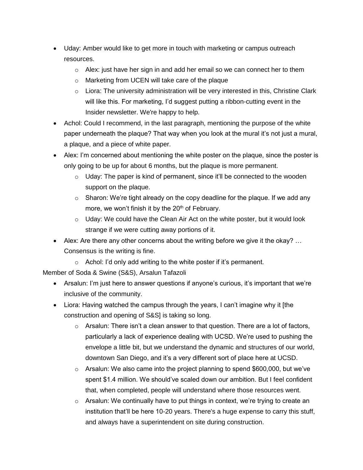- Uday: Amber would like to get more in touch with marketing or campus outreach resources.
	- $\circ$  Alex: just have her sign in and add her email so we can connect her to them
	- o Marketing from UCEN will take care of the plaque
	- $\circ$  Liora: The university administration will be very interested in this, Christine Clark will like this. For marketing, I'd suggest putting a ribbon-cutting event in the Insider newsletter. We're happy to help.
- Achol: Could I recommend, in the last paragraph, mentioning the purpose of the white paper underneath the plaque? That way when you look at the mural it's not just a mural, a plaque, and a piece of white paper.
- Alex: I'm concerned about mentioning the white poster on the plaque, since the poster is only going to be up for about 6 months, but the plaque is more permanent.
	- $\circ$  Uday: The paper is kind of permanent, since it'll be connected to the wooden support on the plaque.
	- $\circ$  Sharon: We're tight already on the copy deadline for the plaque. If we add any more, we won't finish it by the  $20<sup>th</sup>$  of February.
	- $\circ$  Uday: We could have the Clean Air Act on the white poster, but it would look strange if we were cutting away portions of it.
- Alex: Are there any other concerns about the writing before we give it the okay? ... Consensus is the writing is fine.
	- $\circ$  Achol: I'd only add writing to the white poster if it's permanent.

Member of Soda & Swine (S&S), Arsalun Tafazoli

- Arsalun: I'm just here to answer questions if anyone's curious, it's important that we're inclusive of the community.
- Liora: Having watched the campus through the years, I can't imagine why it [the construction and opening of S&S] is taking so long.
	- $\circ$  Arsalun: There isn't a clean answer to that question. There are a lot of factors, particularly a lack of experience dealing with UCSD. We're used to pushing the envelope a little bit, but we understand the dynamic and structures of our world, downtown San Diego, and it's a very different sort of place here at UCSD.
	- o Arsalun: We also came into the project planning to spend \$600,000, but we've spent \$1.4 million. We should've scaled down our ambition. But I feel confident that, when completed, people will understand where those resources went.
	- o Arsalun: We continually have to put things in context, we're trying to create an institution that'll be here 10-20 years. There's a huge expense to carry this stuff, and always have a superintendent on site during construction.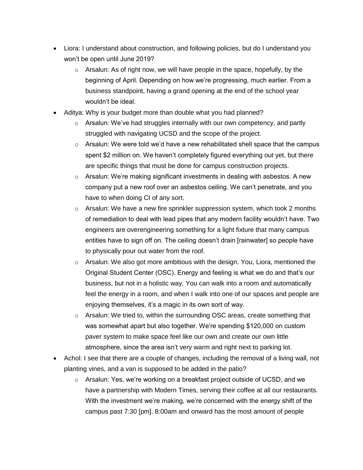- Liora: I understand about construction, and following policies, but do I understand you won't be open until June 2019?
	- $\circ$  Arsalun: As of right now, we will have people in the space, hopefully, by the beginning of April. Depending on how we're progressing, much earlier. From a business standpoint, having a grand opening at the end of the school year wouldn't be ideal.
- Aditya: Why is your budget more than double what you had planned?
	- $\circ$  Arsalun: We've had struggles internally with our own competency, and partly struggled with navigating UCSD and the scope of the project.
	- $\circ$  Arsalun: We were told we'd have a new rehabilitated shell space that the campus spent \$2 million on. We haven't completely figured everything out yet, but there are specific things that must be done for campus construction projects.
	- $\circ$  Arsalun: We're making significant investments in dealing with asbestos. A new company put a new roof over an asbestos ceiling. We can't penetrate, and you have to when doing CI of any sort.
	- o Arsalun: We have a new fire sprinkler suppression system, which took 2 months of remediation to deal with lead pipes that any modern facility wouldn't have. Two engineers are overengineering something for a light fixture that many campus entities have to sign off on. The ceiling doesn't drain [rainwater] so people have to physically pour out water from the roof.
	- $\circ$  Arsalun: We also got more ambitious with the design. You, Liora, mentioned the Original Student Center (OSC). Energy and feeling is what we do and that's our business, but not in a holistic way. You can walk into a room and automatically feel the energy in a room, and when I walk into one of our spaces and people are enjoying themselves, it's a magic in its own sort of way.
	- o Arsalun: We tried to, within the surrounding OSC areas, create something that was somewhat apart but also together. We're spending \$120,000 on custom paver system to make space feel like our own and create our own little atmosphere, since the area isn't very warm and right next to parking lot.
- Achol: I see that there are a couple of changes, including the removal of a living wall, not planting vines, and a van is supposed to be added in the patio?
	- $\circ$  Arsalun: Yes, we're working on a breakfast project outside of UCSD, and we have a partnership with Modern Times, serving their coffee at all our restaurants. With the investment we're making, we're concerned with the energy shift of the campus past 7:30 [pm]. 8:00am and onward has the most amount of people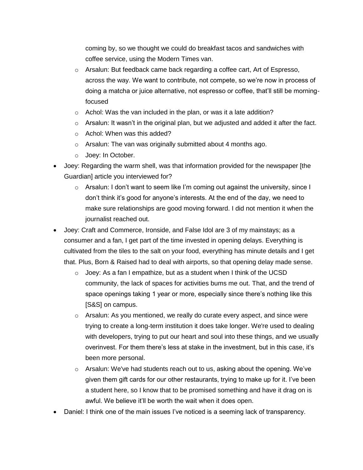coming by, so we thought we could do breakfast tacos and sandwiches with coffee service, using the Modern Times van.

- $\circ$  Arsalun: But feedback came back regarding a coffee cart, Art of Espresso, across the way. We want to contribute, not compete, so we're now in process of doing a matcha or juice alternative, not espresso or coffee, that'll still be morningfocused
- o Achol: Was the van included in the plan, or was it a late addition?
- $\circ$  Arsalun: It wasn't in the original plan, but we adjusted and added it after the fact.
- o Achol: When was this added?
- o Arsalun: The van was originally submitted about 4 months ago.
- o Joey: In October.
- Joey: Regarding the warm shell, was that information provided for the newspaper [the Guardian] article you interviewed for?
	- $\circ$  Arsalun: I don't want to seem like I'm coming out against the university, since I don't think it's good for anyone's interests. At the end of the day, we need to make sure relationships are good moving forward. I did not mention it when the journalist reached out.
- Joey: Craft and Commerce, Ironside, and False Idol are 3 of my mainstays; as a consumer and a fan, I get part of the time invested in opening delays. Everything is cultivated from the tiles to the salt on your food, everything has minute details and I get that. Plus, Born & Raised had to deal with airports, so that opening delay made sense.
	- $\circ$  Joey: As a fan I empathize, but as a student when I think of the UCSD community, the lack of spaces for activities bums me out. That, and the trend of space openings taking 1 year or more, especially since there's nothing like this [S&S] on campus.
	- $\circ$  Arsalun: As you mentioned, we really do curate every aspect, and since were trying to create a long-term institution it does take longer. We're used to dealing with developers, trying to put our heart and soul into these things, and we usually overinvest. For them there's less at stake in the investment, but in this case, it's been more personal.
	- o Arsalun: We've had students reach out to us, asking about the opening. We've given them gift cards for our other restaurants, trying to make up for it. I've been a student here, so I know that to be promised something and have it drag on is awful. We believe it'll be worth the wait when it does open.
- Daniel: I think one of the main issues I've noticed is a seeming lack of transparency.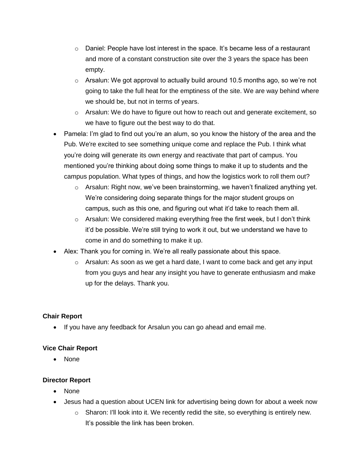- $\circ$  Daniel: People have lost interest in the space. It's became less of a restaurant and more of a constant construction site over the 3 years the space has been empty.
- $\circ$  Arsalun: We got approval to actually build around 10.5 months ago, so we're not going to take the full heat for the emptiness of the site. We are way behind where we should be, but not in terms of years.
- $\circ$  Arsalun: We do have to figure out how to reach out and generate excitement, so we have to figure out the best way to do that.
- Pamela: I'm glad to find out you're an alum, so you know the history of the area and the Pub. We're excited to see something unique come and replace the Pub. I think what you're doing will generate its own energy and reactivate that part of campus. You mentioned you're thinking about doing some things to make it up to students and the campus population. What types of things, and how the logistics work to roll them out?
	- $\circ$  Arsalun: Right now, we've been brainstorming, we haven't finalized anything yet. We're considering doing separate things for the major student groups on campus, such as this one, and figuring out what it'd take to reach them all.
	- $\circ$  Arsalun: We considered making everything free the first week, but I don't think it'd be possible. We're still trying to work it out, but we understand we have to come in and do something to make it up.
- Alex: Thank you for coming in. We're all really passionate about this space.
	- $\circ$  Arsalun: As soon as we get a hard date, I want to come back and get any input from you guys and hear any insight you have to generate enthusiasm and make up for the delays. Thank you.

## **Chair Report**

• If you have any feedback for Arsalun you can go ahead and email me.

## **Vice Chair Report**

• None

## **Director Report**

- None
- Jesus had a question about UCEN link for advertising being down for about a week now
	- $\circ$  Sharon: I'll look into it. We recently redid the site, so everything is entirely new. It's possible the link has been broken.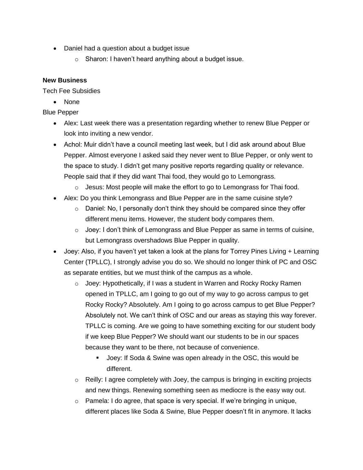- Daniel had a question about a budget issue
	- o Sharon: I haven't heard anything about a budget issue.

### **New Business**

Tech Fee Subsidies

• None

Blue Pepper

- Alex: Last week there was a presentation regarding whether to renew Blue Pepper or look into inviting a new vendor.
- Achol: Muir didn't have a council meeting last week, but I did ask around about Blue Pepper. Almost everyone I asked said they never went to Blue Pepper, or only went to the space to study. I didn't get many positive reports regarding quality or relevance. People said that if they did want Thai food, they would go to Lemongrass.
	- $\circ$  Jesus: Most people will make the effort to go to Lemongrass for Thai food.
- Alex: Do you think Lemongrass and Blue Pepper are in the same cuisine style?
	- $\circ$  Daniel: No, I personally don't think they should be compared since they offer different menu items. However, the student body compares them.
	- $\circ$  Joey: I don't think of Lemongrass and Blue Pepper as same in terms of cuisine, but Lemongrass overshadows Blue Pepper in quality.
- Joey: Also, if you haven't yet taken a look at the plans for Torrey Pines Living + Learning Center (TPLLC), I strongly advise you do so. We should no longer think of PC and OSC as separate entities, but we must think of the campus as a whole.
	- o Joey: Hypothetically, if I was a student in Warren and Rocky Rocky Ramen opened in TPLLC, am I going to go out of my way to go across campus to get Rocky Rocky? Absolutely. Am I going to go across campus to get Blue Pepper? Absolutely not. We can't think of OSC and our areas as staying this way forever. TPLLC is coming. Are we going to have something exciting for our student body if we keep Blue Pepper? We should want our students to be in our spaces because they want to be there, not because of convenience.
		- Joey: If Soda & Swine was open already in the OSC, this would be different.
	- $\circ$  Reilly: I agree completely with Joey, the campus is bringing in exciting projects and new things. Renewing something seen as mediocre is the easy way out.
	- o Pamela: I do agree, that space is very special. If we're bringing in unique, different places like Soda & Swine, Blue Pepper doesn't fit in anymore. It lacks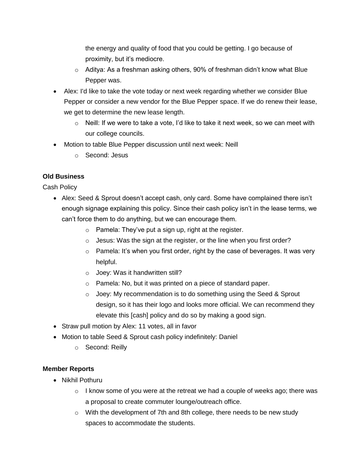the energy and quality of food that you could be getting. I go because of proximity, but it's mediocre.

- $\circ$  Aditya: As a freshman asking others, 90% of freshman didn't know what Blue Pepper was.
- Alex: I'd like to take the vote today or next week regarding whether we consider Blue Pepper or consider a new vendor for the Blue Pepper space. If we do renew their lease, we get to determine the new lease length.
	- $\circ$  Neill: If we were to take a vote, I'd like to take it next week, so we can meet with our college councils.
- Motion to table Blue Pepper discussion until next week: Neill
	- o Second: Jesus

#### **Old Business**

Cash Policy

- Alex: Seed & Sprout doesn't accept cash, only card. Some have complained there isn't enough signage explaining this policy. Since their cash policy isn't in the lease terms, we can't force them to do anything, but we can encourage them.
	- $\circ$  Pamela: They've put a sign up, right at the register.
	- o Jesus: Was the sign at the register, or the line when you first order?
	- $\circ$  Pamela: It's when you first order, right by the case of beverages. It was very helpful.
	- o Joey: Was it handwritten still?
	- o Pamela: No, but it was printed on a piece of standard paper.
	- o Joey: My recommendation is to do something using the Seed & Sprout design, so it has their logo and looks more official. We can recommend they elevate this [cash] policy and do so by making a good sign.
- Straw pull motion by Alex: 11 votes, all in favor
- Motion to table Seed & Sprout cash policy indefinitely: Daniel
	- o Second: Reilly

#### **Member Reports**

- Nikhil Pothuru
	- $\circ$  I know some of you were at the retreat we had a couple of weeks ago; there was a proposal to create commuter lounge/outreach office.
	- $\circ$  With the development of 7th and 8th college, there needs to be new study spaces to accommodate the students.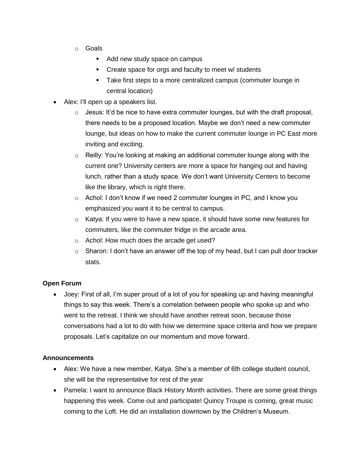- o Goals
	- Add new study space on campus
	- Create space for orgs and faculty to meet w/ students
	- Take first steps to a more centralized campus (commuter lounge in central location)
- Alex: I'll open up a speakers list.
	- $\circ$  Jesus: It'd be nice to have extra commuter lounges, but with the draft proposal, there needs to be a proposed location. Maybe we don't need a new commuter lounge, but ideas on how to make the current commuter lounge in PC East more inviting and exciting.
	- $\circ$  Reilly: You're looking at making an additional commuter lounge along with the current one? University centers are more a space for hanging out and having lunch, rather than a study space. We don't want University Centers to become like the library, which is right there.
	- o Achol: I don't know if we need 2 commuter lounges in PC, and I know you emphasized you want it to be central to campus.
	- $\circ$  Katya: If you were to have a new space, it should have some new features for commuters, like the commuter fridge in the arcade area.
	- o Achol: How much does the arcade get used?
	- $\circ$  Sharon: I don't have an answer off the top of my head, but I can pull door tracker stats.

#### **Open Forum**

• Joey: First of all, I'm super proud of a lot of you for speaking up and having meaningful things to say this week. There's a correlation between people who spoke up and who went to the retreat. I think we should have another retreat soon, because those conversations had a lot to do with how we determine space criteria and how we prepare proposals. Let's capitalize on our momentum and move forward.

#### **Announcements**

- Alex: We have a new member, Katya. She's a member of 6th college student council, she will be the representative for rest of the year
- Pamela: I want to announce Black History Month activities. There are some great things happening this week. Come out and participate! Quincy Troupe is coming, great music coming to the Loft. He did an installation downtown by the Children's Museum.